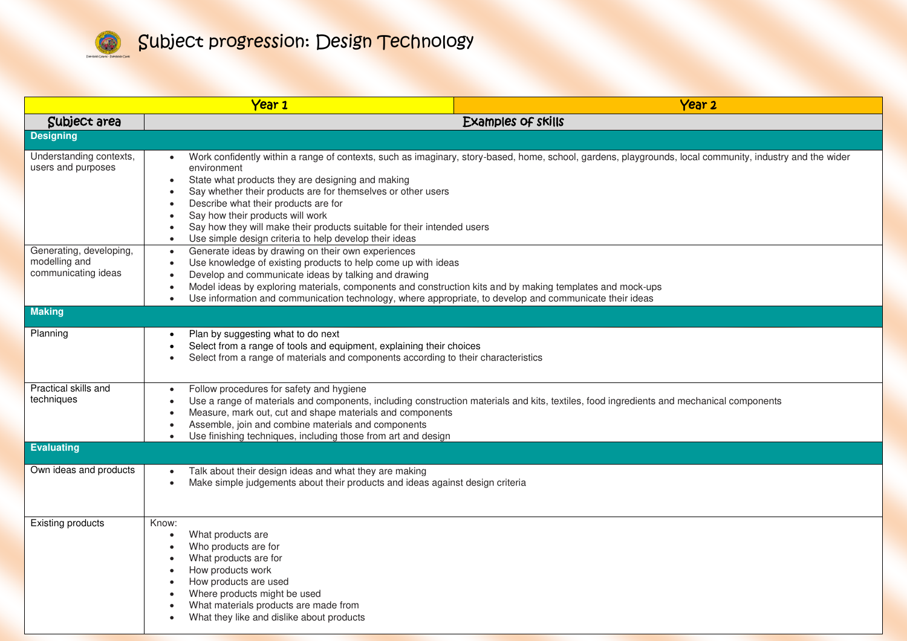

|                                                                 | Year 1                                                                                                                                                                                                                                                                                                                                                                                                                                     | Year <sub>2</sub>                                                                                                                                        |
|-----------------------------------------------------------------|--------------------------------------------------------------------------------------------------------------------------------------------------------------------------------------------------------------------------------------------------------------------------------------------------------------------------------------------------------------------------------------------------------------------------------------------|----------------------------------------------------------------------------------------------------------------------------------------------------------|
| Subject area                                                    | Examples of skills                                                                                                                                                                                                                                                                                                                                                                                                                         |                                                                                                                                                          |
| <b>Designing</b>                                                |                                                                                                                                                                                                                                                                                                                                                                                                                                            |                                                                                                                                                          |
| Understanding contexts,<br>users and purposes                   | environment<br>State what products they are designing and making<br>Say whether their products are for themselves or other users<br>Describe what their products are for<br>Say how their products will work<br>Say how they will make their products suitable for their intended users<br>Use simple design criteria to help develop their ideas<br>$\bullet$                                                                             | Work confidently within a range of contexts, such as imaginary, story-based, home, school, gardens, playgrounds, local community, industry and the wider |
| Generating, developing,<br>modelling and<br>communicating ideas | Generate ideas by drawing on their own experiences<br>$\bullet$<br>Use knowledge of existing products to help come up with ideas<br>$\bullet$<br>Develop and communicate ideas by talking and drawing<br>Model ideas by exploring materials, components and construction kits and by making templates and mock-ups<br>Use information and communication technology, where appropriate, to develop and communicate their ideas<br>$\bullet$ |                                                                                                                                                          |
| <b>Making</b>                                                   |                                                                                                                                                                                                                                                                                                                                                                                                                                            |                                                                                                                                                          |
| Planning                                                        | Plan by suggesting what to do next<br>Select from a range of tools and equipment, explaining their choices<br>Select from a range of materials and components according to their characteristics                                                                                                                                                                                                                                           |                                                                                                                                                          |
| Practical skills and<br>techniques                              | Follow procedures for safety and hygiene<br>Measure, mark out, cut and shape materials and components<br>Assemble, join and combine materials and components<br>Use finishing techniques, including those from art and design                                                                                                                                                                                                              | Use a range of materials and components, including construction materials and kits, textiles, food ingredients and mechanical components                 |
| <b>Evaluating</b>                                               |                                                                                                                                                                                                                                                                                                                                                                                                                                            |                                                                                                                                                          |
| Own ideas and products                                          | Talk about their design ideas and what they are making<br>$\bullet$<br>Make simple judgements about their products and ideas against design criteria<br>$\bullet$                                                                                                                                                                                                                                                                          |                                                                                                                                                          |
| <b>Existing products</b>                                        | Know:<br>What products are<br>$\bullet$<br>Who products are for<br>What products are for<br>How products work<br>How products are used<br>Where products might be used<br>What materials products are made from<br>What they like and dislike about products                                                                                                                                                                               |                                                                                                                                                          |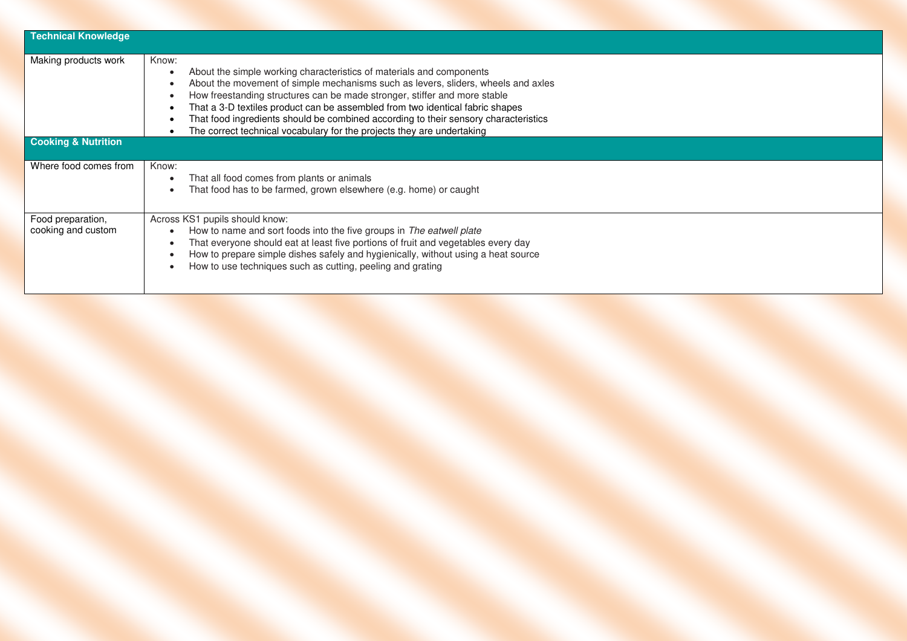| <b>Technical Knowledge</b>                             |                                                                                                                                                                                                                                                                                                                                                                                                                                                                                                   |
|--------------------------------------------------------|---------------------------------------------------------------------------------------------------------------------------------------------------------------------------------------------------------------------------------------------------------------------------------------------------------------------------------------------------------------------------------------------------------------------------------------------------------------------------------------------------|
| Making products work<br><b>Cooking &amp; Nutrition</b> | Know:<br>About the simple working characteristics of materials and components<br>About the movement of simple mechanisms such as levers, sliders, wheels and axles<br>How freestanding structures can be made stronger, stiffer and more stable<br>That a 3-D textiles product can be assembled from two identical fabric shapes<br>That food ingredients should be combined according to their sensory characteristics<br>The correct technical vocabulary for the projects they are undertaking |
|                                                        |                                                                                                                                                                                                                                                                                                                                                                                                                                                                                                   |
| Where food comes from                                  | Know:<br>That all food comes from plants or animals<br>That food has to be farmed, grown elsewhere (e.g. home) or caught                                                                                                                                                                                                                                                                                                                                                                          |
| Food preparation,<br>cooking and custom                | Across KS1 pupils should know:<br>How to name and sort foods into the five groups in The eatwell plate<br>That everyone should eat at least five portions of fruit and vegetables every day<br>How to prepare simple dishes safely and hygienically, without using a heat source<br>How to use techniques such as cutting, peeling and grating                                                                                                                                                    |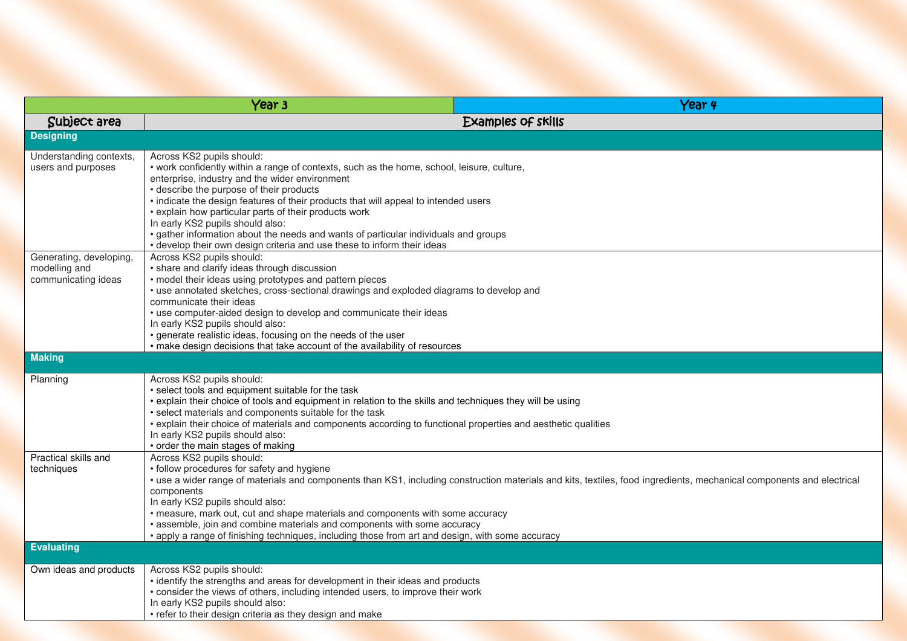| Year <sub>3</sub>                                               |                                                                                                                                                                                                                                                                                                                                                                                                                                                                                                                                                                             | Year 4                                                                                                                                                                |
|-----------------------------------------------------------------|-----------------------------------------------------------------------------------------------------------------------------------------------------------------------------------------------------------------------------------------------------------------------------------------------------------------------------------------------------------------------------------------------------------------------------------------------------------------------------------------------------------------------------------------------------------------------------|-----------------------------------------------------------------------------------------------------------------------------------------------------------------------|
| Subject area                                                    |                                                                                                                                                                                                                                                                                                                                                                                                                                                                                                                                                                             | Examples of skills                                                                                                                                                    |
| <b>Designing</b>                                                |                                                                                                                                                                                                                                                                                                                                                                                                                                                                                                                                                                             |                                                                                                                                                                       |
| Understanding contexts,<br>users and purposes                   | Across KS2 pupils should:<br>• work confidently within a range of contexts, such as the home, school, leisure, culture,<br>enterprise, industry and the wider environment<br>• describe the purpose of their products<br>• indicate the design features of their products that will appeal to intended users<br>• explain how particular parts of their products work<br>In early KS2 pupils should also:<br>• gather information about the needs and wants of particular individuals and groups<br>• develop their own design criteria and use these to inform their ideas |                                                                                                                                                                       |
| Generating, developing,<br>modelling and<br>communicating ideas | Across KS2 pupils should:<br>• share and clarify ideas through discussion<br>• model their ideas using prototypes and pattern pieces<br>• use annotated sketches, cross-sectional drawings and exploded diagrams to develop and<br>communicate their ideas<br>• use computer-aided design to develop and communicate their ideas<br>In early KS2 pupils should also:<br>• generate realistic ideas, focusing on the needs of the user<br>• make design decisions that take account of the availability of resources                                                         |                                                                                                                                                                       |
| <b>Making</b>                                                   |                                                                                                                                                                                                                                                                                                                                                                                                                                                                                                                                                                             |                                                                                                                                                                       |
| Planning                                                        | Across KS2 pupils should:<br>• select tools and equipment suitable for the task<br>• explain their choice of tools and equipment in relation to the skills and techniques they will be using<br>• select materials and components suitable for the task<br>• explain their choice of materials and components according to functional properties and aesthetic qualities<br>In early KS2 pupils should also:<br>• order the main stages of making                                                                                                                           |                                                                                                                                                                       |
| Practical skills and<br>techniques                              | Across KS2 pupils should:<br>• follow procedures for safety and hygiene<br>components<br>In early KS2 pupils should also:<br>• measure, mark out, cut and shape materials and components with some accuracy<br>• assemble, join and combine materials and components with some accuracy<br>• apply a range of finishing techniques, including those from art and design, with some accuracy                                                                                                                                                                                 | • use a wider range of materials and components than KS1, including construction materials and kits, textiles, food ingredients, mechanical components and electrical |
| <b>Evaluating</b>                                               |                                                                                                                                                                                                                                                                                                                                                                                                                                                                                                                                                                             |                                                                                                                                                                       |
| Own ideas and products                                          | Across KS2 pupils should:<br>• identify the strengths and areas for development in their ideas and products<br>• consider the views of others, including intended users, to improve their work<br>In early KS2 pupils should also:<br>• refer to their design criteria as they design and make                                                                                                                                                                                                                                                                              |                                                                                                                                                                       |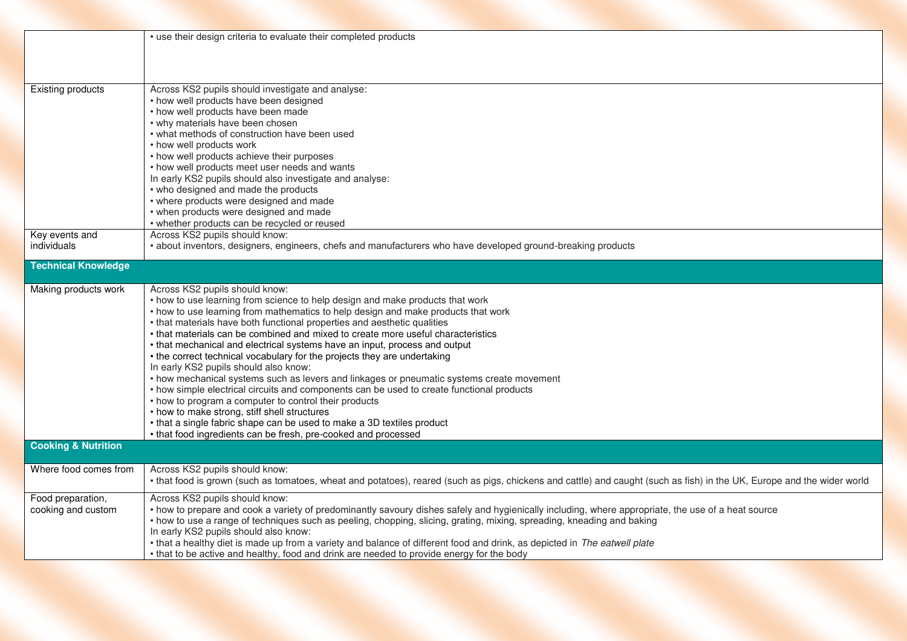| <b>Existing products</b>                | • use their design criteria to evaluate their completed products<br>Across KS2 pupils should investigate and analyse:                                                                                                                                                                                                                                                                                                                                                                                                                                                                                                                                                                                                                                                                                                                                                                                                                                                                                                  |
|-----------------------------------------|------------------------------------------------------------------------------------------------------------------------------------------------------------------------------------------------------------------------------------------------------------------------------------------------------------------------------------------------------------------------------------------------------------------------------------------------------------------------------------------------------------------------------------------------------------------------------------------------------------------------------------------------------------------------------------------------------------------------------------------------------------------------------------------------------------------------------------------------------------------------------------------------------------------------------------------------------------------------------------------------------------------------|
|                                         | • how well products have been designed<br>• how well products have been made<br>• why materials have been chosen<br>• what methods of construction have been used<br>• how well products work<br>• how well products achieve their purposes<br>• how well products meet user needs and wants<br>In early KS2 pupils should also investigate and analyse:<br>• who designed and made the products                                                                                                                                                                                                                                                                                                                                                                                                                                                                                                                                                                                                                       |
|                                         | • where products were designed and made<br>• when products were designed and made<br>• whether products can be recycled or reused                                                                                                                                                                                                                                                                                                                                                                                                                                                                                                                                                                                                                                                                                                                                                                                                                                                                                      |
| Key events and<br>individuals           | Across KS2 pupils should know:<br>• about inventors, designers, engineers, chefs and manufacturers who have developed ground-breaking products                                                                                                                                                                                                                                                                                                                                                                                                                                                                                                                                                                                                                                                                                                                                                                                                                                                                         |
| <b>Technical Knowledge</b>              |                                                                                                                                                                                                                                                                                                                                                                                                                                                                                                                                                                                                                                                                                                                                                                                                                                                                                                                                                                                                                        |
| Making products work                    | Across KS2 pupils should know:<br>• how to use learning from science to help design and make products that work<br>• how to use learning from mathematics to help design and make products that work<br>• that materials have both functional properties and aesthetic qualities<br>• that materials can be combined and mixed to create more useful characteristics<br>• that mechanical and electrical systems have an input, process and output<br>• the correct technical vocabulary for the projects they are undertaking<br>In early KS2 pupils should also know:<br>• how mechanical systems such as levers and linkages or pneumatic systems create movement<br>• how simple electrical circuits and components can be used to create functional products<br>• how to program a computer to control their products<br>• how to make strong, stiff shell structures<br>• that a single fabric shape can be used to make a 3D textiles product<br>• that food ingredients can be fresh, pre-cooked and processed |
| <b>Cooking &amp; Nutrition</b>          |                                                                                                                                                                                                                                                                                                                                                                                                                                                                                                                                                                                                                                                                                                                                                                                                                                                                                                                                                                                                                        |
| Where food comes from                   | Across KS2 pupils should know:<br>• that food is grown (such as tomatoes, wheat and potatoes), reared (such as pigs, chickens and cattle) and caught (such as fish) in the UK, Europe and the wider world                                                                                                                                                                                                                                                                                                                                                                                                                                                                                                                                                                                                                                                                                                                                                                                                              |
| Food preparation,<br>cooking and custom | Across KS2 pupils should know:<br>• how to prepare and cook a variety of predominantly savoury dishes safely and hygienically including, where appropriate, the use of a heat source<br>• how to use a range of techniques such as peeling, chopping, slicing, grating, mixing, spreading, kneading and baking<br>In early KS2 pupils should also know:<br>• that a healthy diet is made up from a variety and balance of different food and drink, as depicted in The eatwell plate<br>• that to be active and healthy, food and drink are needed to provide energy for the body                                                                                                                                                                                                                                                                                                                                                                                                                                      |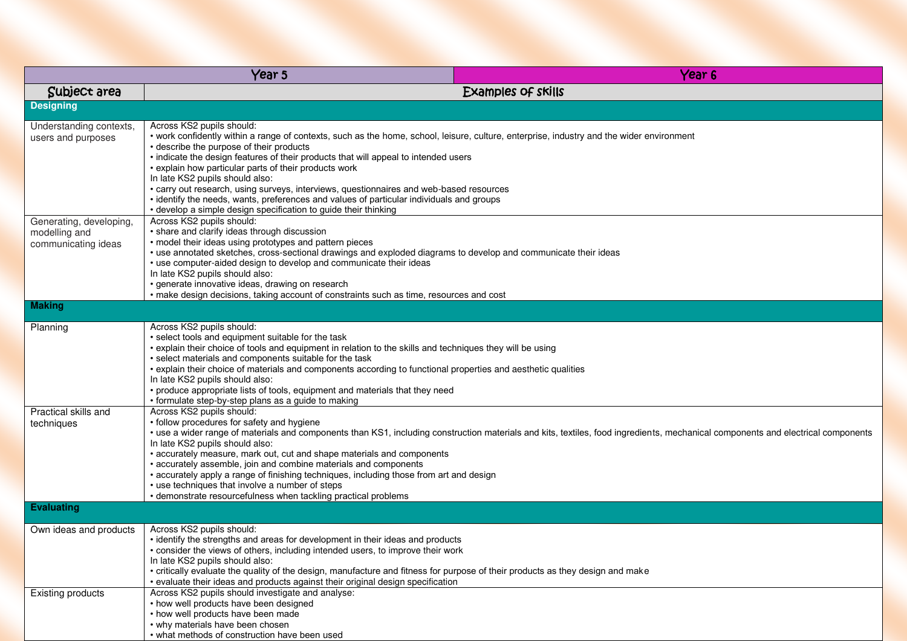|                                                                 | Year 5                                                                                                                                                                                                                                                                                                                                                                                                                                                                                                                                                                                                                                                          | Year 6                                                                                                                                                                           |
|-----------------------------------------------------------------|-----------------------------------------------------------------------------------------------------------------------------------------------------------------------------------------------------------------------------------------------------------------------------------------------------------------------------------------------------------------------------------------------------------------------------------------------------------------------------------------------------------------------------------------------------------------------------------------------------------------------------------------------------------------|----------------------------------------------------------------------------------------------------------------------------------------------------------------------------------|
| Subject area                                                    | Examples of skills                                                                                                                                                                                                                                                                                                                                                                                                                                                                                                                                                                                                                                              |                                                                                                                                                                                  |
| <b>Designing</b>                                                |                                                                                                                                                                                                                                                                                                                                                                                                                                                                                                                                                                                                                                                                 |                                                                                                                                                                                  |
| Understanding contexts,<br>users and purposes                   | Across KS2 pupils should:<br>• work confidently within a range of contexts, such as the home, school, leisure, culture, enterprise, industry and the wider environment<br>• describe the purpose of their products<br>. indicate the design features of their products that will appeal to intended users<br>• explain how particular parts of their products work<br>In late KS2 pupils should also:<br>• carry out research, using surveys, interviews, questionnaires and web-based resources<br>• identify the needs, wants, preferences and values of particular individuals and groups<br>• develop a simple design specification to guide their thinking |                                                                                                                                                                                  |
| Generating, developing,<br>modelling and<br>communicating ideas | Across KS2 pupils should:<br>• share and clarify ideas through discussion<br>• model their ideas using prototypes and pattern pieces<br>· use annotated sketches, cross-sectional drawings and exploded diagrams to develop and communicate their ideas<br>• use computer-aided design to develop and communicate their ideas<br>In late KS2 pupils should also:<br>· generate innovative ideas, drawing on research<br>• make design decisions, taking account of constraints such as time, resources and cost                                                                                                                                                 |                                                                                                                                                                                  |
| <b>Making</b>                                                   |                                                                                                                                                                                                                                                                                                                                                                                                                                                                                                                                                                                                                                                                 |                                                                                                                                                                                  |
| Planning                                                        | Across KS2 pupils should:<br>• select tools and equipment suitable for the task<br>• explain their choice of tools and equipment in relation to the skills and techniques they will be using<br>• select materials and components suitable for the task<br>• explain their choice of materials and components according to functional properties and aesthetic qualities<br>In late KS2 pupils should also:<br>• produce appropriate lists of tools, equipment and materials that they need<br>• formulate step-by-step plans as a guide to making                                                                                                              |                                                                                                                                                                                  |
| Practical skills and<br>techniques                              | Across KS2 pupils should:<br>• follow procedures for safety and hygiene<br>In late KS2 pupils should also:<br>• accurately measure, mark out, cut and shape materials and components<br>· accurately assemble, join and combine materials and components<br>• accurately apply a range of finishing techniques, including those from art and design<br>• use techniques that involve a number of steps<br>• demonstrate resourcefulness when tackling practical problems                                                                                                                                                                                        | • use a wider range of materials and components than KS1, including construction materials and kits, textiles, food ingredients, mechanical components and electrical components |
| <b>Evaluating</b>                                               |                                                                                                                                                                                                                                                                                                                                                                                                                                                                                                                                                                                                                                                                 |                                                                                                                                                                                  |
| Own ideas and products                                          | Across KS2 pupils should:<br>• identify the strengths and areas for development in their ideas and products<br>• consider the views of others, including intended users, to improve their work<br>In late KS2 pupils should also:<br>• critically evaluate the quality of the design, manufacture and fitness for purpose of their products as they design and make<br>• evaluate their ideas and products against their original design specification                                                                                                                                                                                                          |                                                                                                                                                                                  |
| <b>Existing products</b>                                        | Across KS2 pupils should investigate and analyse:<br>• how well products have been designed<br>• how well products have been made<br>• why materials have been chosen<br>• what methods of construction have been used                                                                                                                                                                                                                                                                                                                                                                                                                                          |                                                                                                                                                                                  |